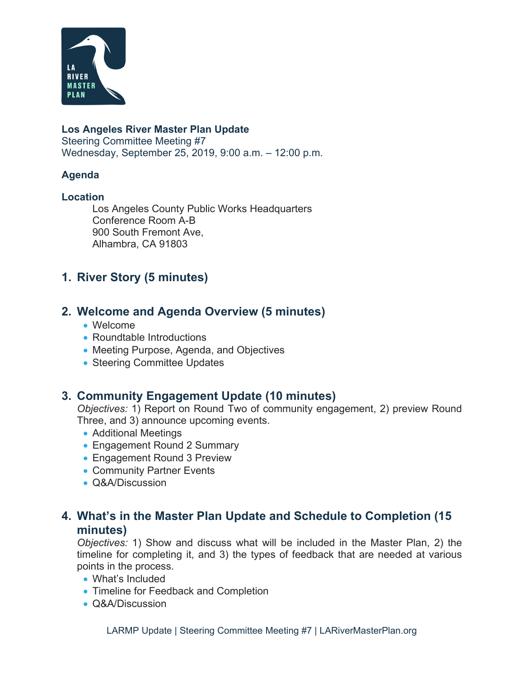

#### **Los Angeles River Master Plan Update**

Steering Committee Meeting #7 Wednesday, September 25, 2019, 9:00 a.m. – 12:00 p.m.

#### **Agenda**

#### **Location**

Los Angeles County Public Works Headquarters Conference Room A-B 900 South Fremont Ave, Alhambra, CA 91803

## **1. River Story (5 minutes)**

### **2. Welcome and Agenda Overview (5 minutes)**

- Welcome
- Roundtable Introductions
- Meeting Purpose, Agenda, and Objectives
- Steering Committee Updates

## **3. Community Engagement Update (10 minutes)**

*Objectives:* 1) Report on Round Two of community engagement, 2) preview Round Three, and 3) announce upcoming events.

- Additional Meetings
- Engagement Round 2 Summary
- Engagement Round 3 Preview
- Community Partner Events
- Q&A/Discussion

## **4. What's in the Master Plan Update and Schedule to Completion (15 minutes)**

*Objectives:* 1) Show and discuss what will be included in the Master Plan, 2) the timeline for completing it, and 3) the types of feedback that are needed at various points in the process.

- What's Included
- Timeline for Feedback and Completion
- Q&A/Discussion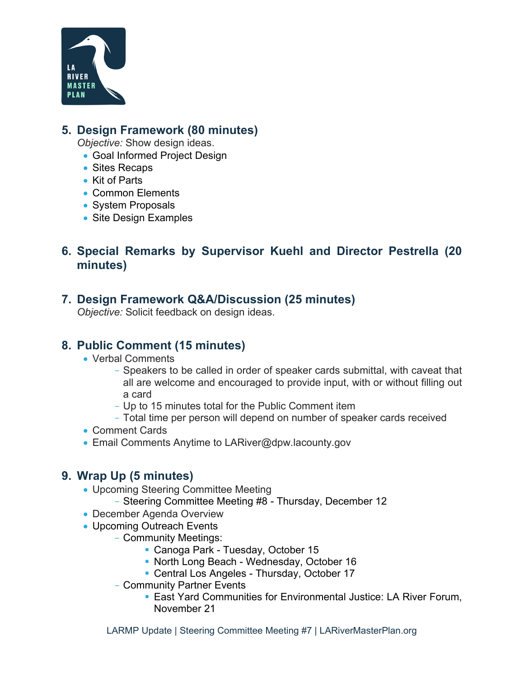

## **5. Design Framework (80 minutes)**

*Objective:* Show design ideas.

- Goal Informed Project Design
- Sites Recaps
- Kit of Parts
- Common Elements
- System Proposals
- Site Design Examples

# **6. Special Remarks by Supervisor Kuehl and Director Pestrella (20 minutes)**

## **7. Design Framework Q&A/Discussion (25 minutes)**

*Objective:* Solicit feedback on design ideas.

## **8. Public Comment (15 minutes)**

- Verbal Comments
	- Speakers to be called in order of speaker cards submittal, with caveat that all are welcome and encouraged to provide input, with or without filling out a card
	- Up to 15 minutes total for the Public Comment item
	- Total time per person will depend on number of speaker cards received
- Comment Cards
- Email Comments Anytime to LARiver@dpw.lacounty.gov

### **9. Wrap Up (5 minutes)**

- Upcoming Steering Committee Meeting
	- Steering Committee Meeting #8 Thursday, December 12
- December Agenda Overview
- Upcoming Outreach Events
	- Community Meetings:
		- Canoga Park Tuesday, October 15
		- **North Long Beach Wednesday, October 16**
		- Central Los Angeles Thursday, October 17
	- Community Partner Events
		- **East Yard Communities for Environmental Justice: LA River Forum,** November 21